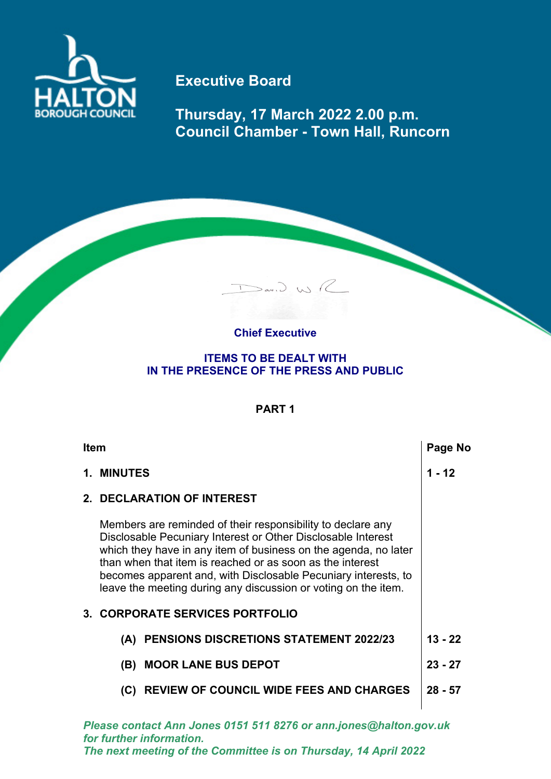

## **Executive Board**

**Thursday, 17 March 2022 2.00 p.m. Council Chamber - Town Hall, Runcorn**

## **Chief Executive**

Dav. J. WR

## **ITEMS TO BE DEALT WITH IN THE PRESENCE OF THE PRESS AND PUBLIC**

## **PART 1**

| <b>Item</b> |                                                                                                                                                                                                                                                                                                                                                                                                 |                                                | Page No   |
|-------------|-------------------------------------------------------------------------------------------------------------------------------------------------------------------------------------------------------------------------------------------------------------------------------------------------------------------------------------------------------------------------------------------------|------------------------------------------------|-----------|
|             | 1. MINUTES                                                                                                                                                                                                                                                                                                                                                                                      |                                                | 1 - 12    |
| 2           |                                                                                                                                                                                                                                                                                                                                                                                                 | <b>DECLARATION OF INTEREST</b>                 |           |
|             | Members are reminded of their responsibility to declare any<br>Disclosable Pecuniary Interest or Other Disclosable Interest<br>which they have in any item of business on the agenda, no later<br>than when that item is reached or as soon as the interest<br>becomes apparent and, with Disclosable Pecuniary interests, to<br>leave the meeting during any discussion or voting on the item. |                                                |           |
|             |                                                                                                                                                                                                                                                                                                                                                                                                 | <b>3. CORPORATE SERVICES PORTFOLIO</b>         |           |
|             | (A)                                                                                                                                                                                                                                                                                                                                                                                             | <b>PENSIONS DISCRETIONS STATEMENT 2022/23</b>  | $13 - 22$ |
|             |                                                                                                                                                                                                                                                                                                                                                                                                 | (B) MOOR LANE BUS DEPOT                        | $23 - 27$ |
|             | (C)                                                                                                                                                                                                                                                                                                                                                                                             | <b>REVIEW OF COUNCIL WIDE FEES AND CHARGES</b> | $28 - 57$ |
|             |                                                                                                                                                                                                                                                                                                                                                                                                 |                                                |           |

*Please contact Ann Jones 0151 511 8276 or ann.jones@halton.gov.uk for further information. The next meeting of the Committee is on Thursday, 14 April 2022*